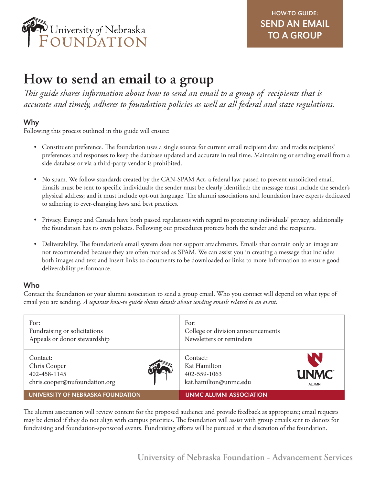

# **How to send an email to a group**

*This guide shares information about how to send an email to a group of recipients that is accurate and timely, adheres to foundation policies as well as all federal and state regulations.*

# Why

Following this process outlined in this guide will ensure:

- Constituent preference. The foundation uses a single source for current email recipient data and tracks recipients' preferences and responses to keep the database updated and accurate in real time. Maintaining or sending email from a side database or via a third-party vendor is prohibited.
- No spam. We follow standards created by the CAN-SPAM Act, a federal law passed to prevent unsolicited email. Emails must be sent to specific individuals; the sender must be clearly identified; the message must include the sender's physical address; and it must include opt-out language. The alumni associations and foundation have experts dedicated to adhering to ever-changing laws and best practices.
- Privacy. Europe and Canada have both passed regulations with regard to protecting individuals' privacy; additionally the foundation has its own policies. Following our procedures protects both the sender and the recipients.
- Deliverability. The foundation's email system does not support attachments. Emails that contain only an image are not recommended because they are often marked as SPAM. We can assist you in creating a message that includes both images and text and insert links to documents to be downloaded or links to more information to ensure good deliverability performance.

# Who

Contact the foundation or your alumni association to send a group email. Who you contact will depend on what type of email you are sending. *A separate how-to guide shares details about sending emails related to an event*.

| For:<br>Fundraising or solicitations<br>Appeals or donor stewardship      | For:<br>College or division announcements<br>Newsletters or reminders                                    |
|---------------------------------------------------------------------------|----------------------------------------------------------------------------------------------------------|
| Contact:<br>Chris Cooper<br>402-458-1145<br>chris.cooper@nufoundation.org | NN.<br>Contact:<br>Kat Hamilton<br><b>UNMC</b><br>402-559-1063<br>kat.hamilton@unmc.edu<br><b>ALUMNI</b> |
| <b>UNIVERSITY OF NEBRASKA FOUNDATION</b>                                  | <b>UNMC ALUMNI ASSOCIATION</b>                                                                           |

The alumni association will review content for the proposed audience and provide feedback as appropriate; email requests may be denied if they do not align with campus priorities. The foundation will assist with group emails sent to donors for fundraising and foundation-sponsored events. Fundraising efforts will be pursued at the discretion of the foundation.